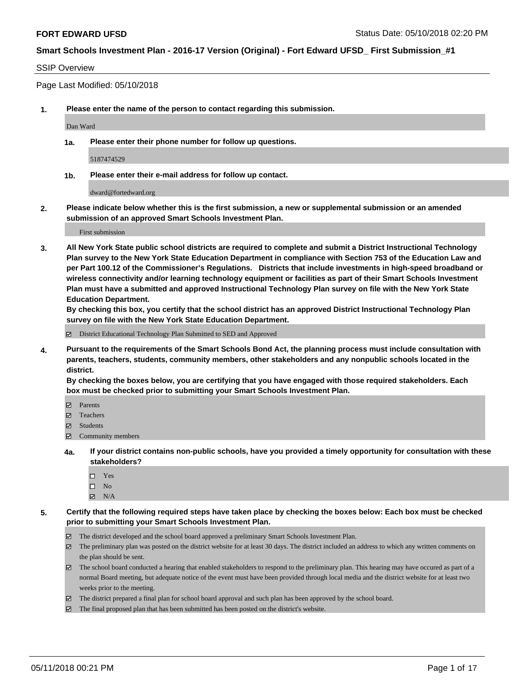#### SSIP Overview

Page Last Modified: 05/10/2018

**1. Please enter the name of the person to contact regarding this submission.**

Dan Ward

**1a. Please enter their phone number for follow up questions.**

5187474529

**1b. Please enter their e-mail address for follow up contact.**

dward@fortedward.org

**2. Please indicate below whether this is the first submission, a new or supplemental submission or an amended submission of an approved Smart Schools Investment Plan.**

First submission

**3. All New York State public school districts are required to complete and submit a District Instructional Technology Plan survey to the New York State Education Department in compliance with Section 753 of the Education Law and per Part 100.12 of the Commissioner's Regulations. Districts that include investments in high-speed broadband or wireless connectivity and/or learning technology equipment or facilities as part of their Smart Schools Investment Plan must have a submitted and approved Instructional Technology Plan survey on file with the New York State Education Department.** 

**By checking this box, you certify that the school district has an approved District Instructional Technology Plan survey on file with the New York State Education Department.**

District Educational Technology Plan Submitted to SED and Approved

**4. Pursuant to the requirements of the Smart Schools Bond Act, the planning process must include consultation with parents, teachers, students, community members, other stakeholders and any nonpublic schools located in the district.** 

**By checking the boxes below, you are certifying that you have engaged with those required stakeholders. Each box must be checked prior to submitting your Smart Schools Investment Plan.**

- Parents
- Teachers
- Students
- Community members
- **4a. If your district contains non-public schools, have you provided a timely opportunity for consultation with these stakeholders?**
	- Yes
	- $\square$  No
	- $N/A$
- **5. Certify that the following required steps have taken place by checking the boxes below: Each box must be checked prior to submitting your Smart Schools Investment Plan.**
	- The district developed and the school board approved a preliminary Smart Schools Investment Plan.
	- $\boxtimes$  The preliminary plan was posted on the district website for at least 30 days. The district included an address to which any written comments on the plan should be sent.
	- $\boxtimes$  The school board conducted a hearing that enabled stakeholders to respond to the preliminary plan. This hearing may have occured as part of a normal Board meeting, but adequate notice of the event must have been provided through local media and the district website for at least two weeks prior to the meeting.
	- The district prepared a final plan for school board approval and such plan has been approved by the school board.
	- $\boxtimes$  The final proposed plan that has been submitted has been posted on the district's website.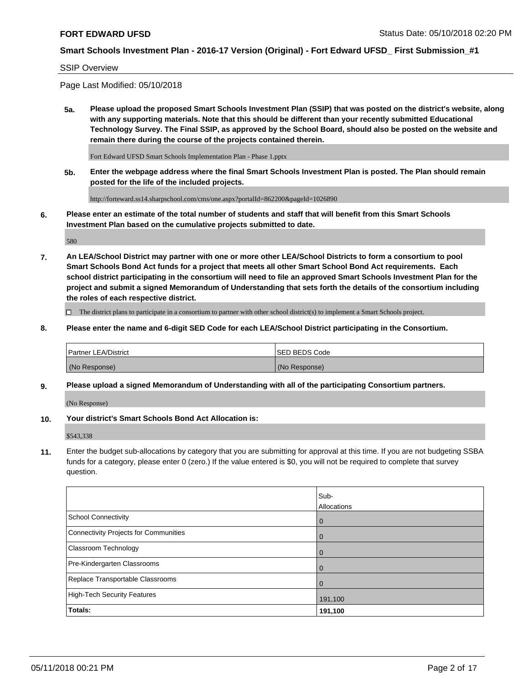#### SSIP Overview

Page Last Modified: 05/10/2018

**5a. Please upload the proposed Smart Schools Investment Plan (SSIP) that was posted on the district's website, along with any supporting materials. Note that this should be different than your recently submitted Educational Technology Survey. The Final SSIP, as approved by the School Board, should also be posted on the website and remain there during the course of the projects contained therein.**

Fort Edward UFSD Smart Schools Implementation Plan - Phase 1.pptx

**5b. Enter the webpage address where the final Smart Schools Investment Plan is posted. The Plan should remain posted for the life of the included projects.**

http://forteward.ss14.sharpschool.com/cms/one.aspx?portalId=862200&pageId=1026890

**6. Please enter an estimate of the total number of students and staff that will benefit from this Smart Schools Investment Plan based on the cumulative projects submitted to date.**

580

**7. An LEA/School District may partner with one or more other LEA/School Districts to form a consortium to pool Smart Schools Bond Act funds for a project that meets all other Smart School Bond Act requirements. Each school district participating in the consortium will need to file an approved Smart Schools Investment Plan for the project and submit a signed Memorandum of Understanding that sets forth the details of the consortium including the roles of each respective district.**

 $\Box$  The district plans to participate in a consortium to partner with other school district(s) to implement a Smart Schools project.

**8. Please enter the name and 6-digit SED Code for each LEA/School District participating in the Consortium.**

| <b>Partner LEA/District</b> | <b>ISED BEDS Code</b> |
|-----------------------------|-----------------------|
| (No Response)               | (No Response)         |

#### **9. Please upload a signed Memorandum of Understanding with all of the participating Consortium partners.**

(No Response)

**10. Your district's Smart Schools Bond Act Allocation is:**

\$543,338

**11.** Enter the budget sub-allocations by category that you are submitting for approval at this time. If you are not budgeting SSBA funds for a category, please enter 0 (zero.) If the value entered is \$0, you will not be required to complete that survey question.

|                                              | Sub-<br>Allocations |
|----------------------------------------------|---------------------|
| <b>School Connectivity</b>                   | $\mathbf 0$         |
| <b>Connectivity Projects for Communities</b> | $\Omega$            |
| Classroom Technology                         | $\mathbf 0$         |
| Pre-Kindergarten Classrooms                  | 0                   |
| Replace Transportable Classrooms             | $\Omega$            |
| <b>High-Tech Security Features</b>           | 191,100             |
| Totals:                                      | 191,100             |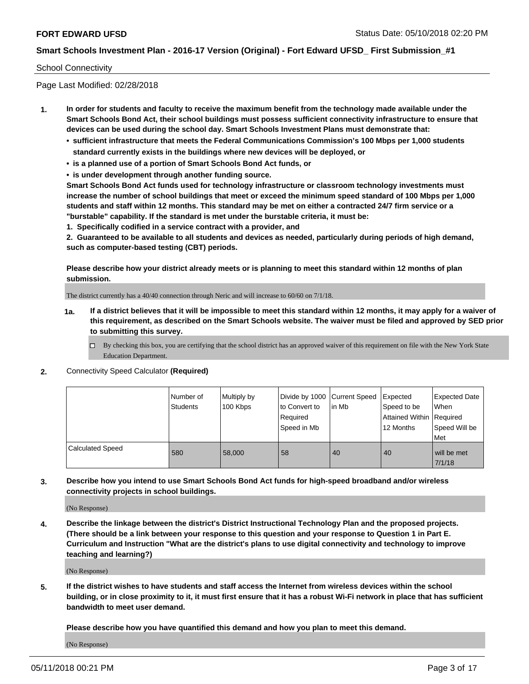#### School Connectivity

Page Last Modified: 02/28/2018

- **1. In order for students and faculty to receive the maximum benefit from the technology made available under the Smart Schools Bond Act, their school buildings must possess sufficient connectivity infrastructure to ensure that devices can be used during the school day. Smart Schools Investment Plans must demonstrate that:**
	- **• sufficient infrastructure that meets the Federal Communications Commission's 100 Mbps per 1,000 students standard currently exists in the buildings where new devices will be deployed, or**
	- **• is a planned use of a portion of Smart Schools Bond Act funds, or**
	- **• is under development through another funding source.**

**Smart Schools Bond Act funds used for technology infrastructure or classroom technology investments must increase the number of school buildings that meet or exceed the minimum speed standard of 100 Mbps per 1,000 students and staff within 12 months. This standard may be met on either a contracted 24/7 firm service or a "burstable" capability. If the standard is met under the burstable criteria, it must be:**

**1. Specifically codified in a service contract with a provider, and**

**2. Guaranteed to be available to all students and devices as needed, particularly during periods of high demand, such as computer-based testing (CBT) periods.**

**Please describe how your district already meets or is planning to meet this standard within 12 months of plan submission.**

The district currently has a 40/40 connection through Neric and will increase to 60/60 on 7/1/18.

- **1a. If a district believes that it will be impossible to meet this standard within 12 months, it may apply for a waiver of this requirement, as described on the Smart Schools website. The waiver must be filed and approved by SED prior to submitting this survey.**
	- By checking this box, you are certifying that the school district has an approved waiver of this requirement on file with the New York State Education Department.
- **2.** Connectivity Speed Calculator **(Required)**

|                         | Number of<br>Students | Multiply by<br>100 Kbps | Divide by 1000 Current Speed<br>to Convert to<br>Required<br>Speed in Mb | lin Mb | Expected<br>Speed to be<br>Attained Within Required<br>12 Months | <b>Expected Date</b><br><b>When</b><br>Speed Will be<br>Met |
|-------------------------|-----------------------|-------------------------|--------------------------------------------------------------------------|--------|------------------------------------------------------------------|-------------------------------------------------------------|
| <b>Calculated Speed</b> | 580                   | 58,000                  | 58                                                                       | 40     | 40                                                               | will be met<br>7/1/18                                       |

**3. Describe how you intend to use Smart Schools Bond Act funds for high-speed broadband and/or wireless connectivity projects in school buildings.**

(No Response)

**4. Describe the linkage between the district's District Instructional Technology Plan and the proposed projects. (There should be a link between your response to this question and your response to Question 1 in Part E. Curriculum and Instruction "What are the district's plans to use digital connectivity and technology to improve teaching and learning?)**

(No Response)

**5. If the district wishes to have students and staff access the Internet from wireless devices within the school building, or in close proximity to it, it must first ensure that it has a robust Wi-Fi network in place that has sufficient bandwidth to meet user demand.**

**Please describe how you have quantified this demand and how you plan to meet this demand.**

(No Response)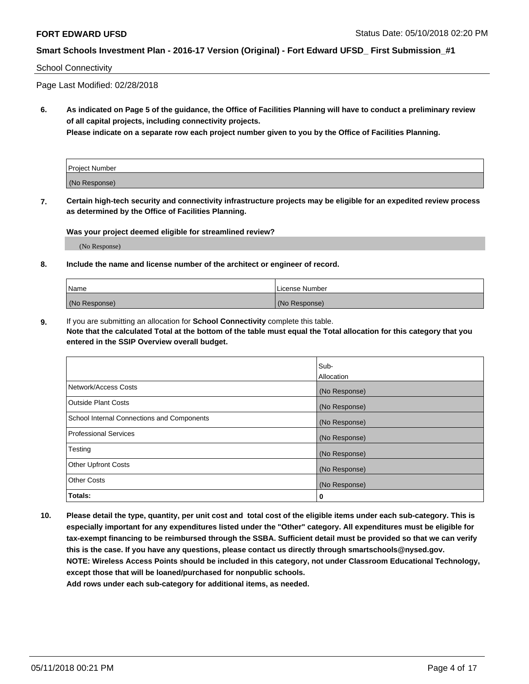#### School Connectivity

Page Last Modified: 02/28/2018

**6. As indicated on Page 5 of the guidance, the Office of Facilities Planning will have to conduct a preliminary review of all capital projects, including connectivity projects.**

**Please indicate on a separate row each project number given to you by the Office of Facilities Planning.**

| Project Number |  |
|----------------|--|
| (No Response)  |  |

**7. Certain high-tech security and connectivity infrastructure projects may be eligible for an expedited review process as determined by the Office of Facilities Planning.**

#### **Was your project deemed eligible for streamlined review?**

(No Response)

#### **8. Include the name and license number of the architect or engineer of record.**

| Name          | License Number |
|---------------|----------------|
| (No Response) | (No Response)  |

**9.** If you are submitting an allocation for **School Connectivity** complete this table.

**Note that the calculated Total at the bottom of the table must equal the Total allocation for this category that you entered in the SSIP Overview overall budget.** 

|                                            | Sub-<br><b>Allocation</b> |
|--------------------------------------------|---------------------------|
| Network/Access Costs                       | (No Response)             |
| Outside Plant Costs                        | (No Response)             |
| School Internal Connections and Components | (No Response)             |
| Professional Services                      | (No Response)             |
| Testing                                    | (No Response)             |
| <b>Other Upfront Costs</b>                 | (No Response)             |
| <b>Other Costs</b>                         | (No Response)             |
| Totals:                                    | 0                         |

**10. Please detail the type, quantity, per unit cost and total cost of the eligible items under each sub-category. This is especially important for any expenditures listed under the "Other" category. All expenditures must be eligible for tax-exempt financing to be reimbursed through the SSBA. Sufficient detail must be provided so that we can verify this is the case. If you have any questions, please contact us directly through smartschools@nysed.gov. NOTE: Wireless Access Points should be included in this category, not under Classroom Educational Technology, except those that will be loaned/purchased for nonpublic schools.**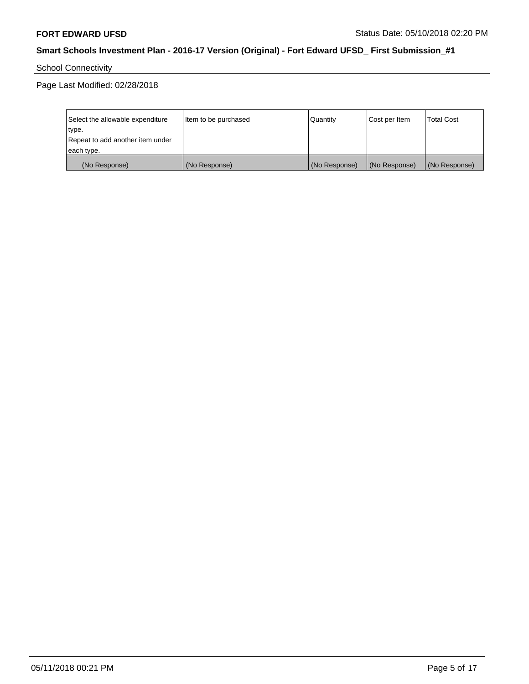School Connectivity

| Select the allowable expenditure | Item to be purchased | Quantity      | Cost per Item | <b>Total Cost</b> |
|----------------------------------|----------------------|---------------|---------------|-------------------|
| type.                            |                      |               |               |                   |
| Repeat to add another item under |                      |               |               |                   |
| each type.                       |                      |               |               |                   |
| (No Response)                    | (No Response)        | (No Response) | (No Response) | (No Response)     |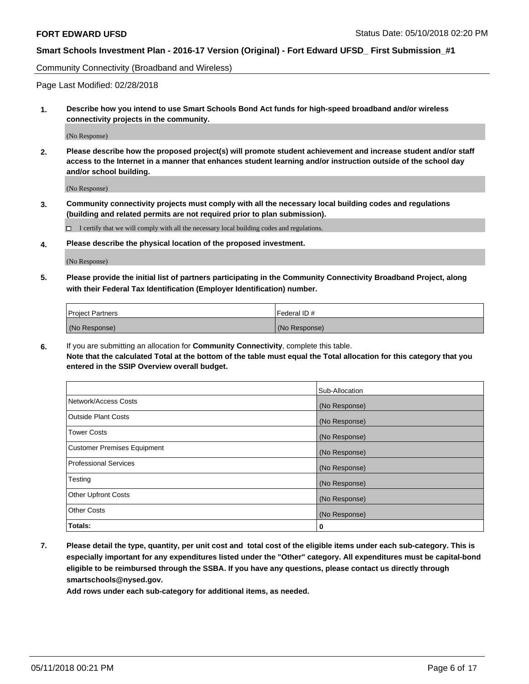Community Connectivity (Broadband and Wireless)

Page Last Modified: 02/28/2018

**1. Describe how you intend to use Smart Schools Bond Act funds for high-speed broadband and/or wireless connectivity projects in the community.**

(No Response)

**2. Please describe how the proposed project(s) will promote student achievement and increase student and/or staff access to the Internet in a manner that enhances student learning and/or instruction outside of the school day and/or school building.**

(No Response)

**3. Community connectivity projects must comply with all the necessary local building codes and regulations (building and related permits are not required prior to plan submission).**

 $\Box$  I certify that we will comply with all the necessary local building codes and regulations.

**4. Please describe the physical location of the proposed investment.**

(No Response)

**5. Please provide the initial list of partners participating in the Community Connectivity Broadband Project, along with their Federal Tax Identification (Employer Identification) number.**

| <b>Project Partners</b> | l Federal ID # |
|-------------------------|----------------|
| (No Response)           | (No Response)  |

**6.** If you are submitting an allocation for **Community Connectivity**, complete this table. **Note that the calculated Total at the bottom of the table must equal the Total allocation for this category that you entered in the SSIP Overview overall budget.**

|                                    | Sub-Allocation |
|------------------------------------|----------------|
| Network/Access Costs               | (No Response)  |
| Outside Plant Costs                | (No Response)  |
| <b>Tower Costs</b>                 | (No Response)  |
| <b>Customer Premises Equipment</b> | (No Response)  |
| Professional Services              | (No Response)  |
| Testing                            | (No Response)  |
| <b>Other Upfront Costs</b>         | (No Response)  |
| <b>Other Costs</b>                 | (No Response)  |
| Totals:                            | 0              |

**7. Please detail the type, quantity, per unit cost and total cost of the eligible items under each sub-category. This is especially important for any expenditures listed under the "Other" category. All expenditures must be capital-bond eligible to be reimbursed through the SSBA. If you have any questions, please contact us directly through smartschools@nysed.gov.**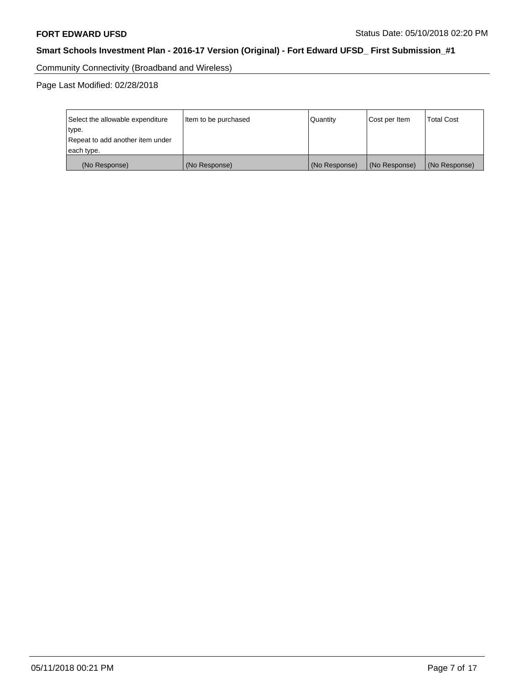Community Connectivity (Broadband and Wireless)

| Select the allowable expenditure | Item to be purchased | Quantity      | Cost per Item | <b>Total Cost</b> |
|----------------------------------|----------------------|---------------|---------------|-------------------|
| type.                            |                      |               |               |                   |
| Repeat to add another item under |                      |               |               |                   |
| each type.                       |                      |               |               |                   |
| (No Response)                    | (No Response)        | (No Response) | (No Response) | (No Response)     |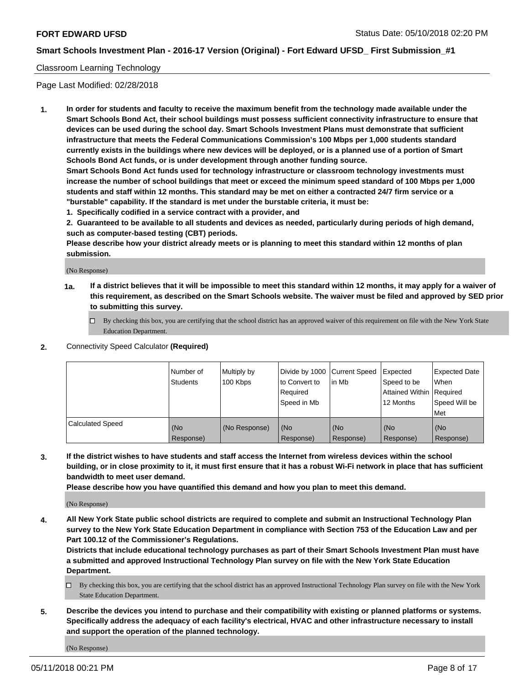### Classroom Learning Technology

Page Last Modified: 02/28/2018

**1. In order for students and faculty to receive the maximum benefit from the technology made available under the Smart Schools Bond Act, their school buildings must possess sufficient connectivity infrastructure to ensure that devices can be used during the school day. Smart Schools Investment Plans must demonstrate that sufficient infrastructure that meets the Federal Communications Commission's 100 Mbps per 1,000 students standard currently exists in the buildings where new devices will be deployed, or is a planned use of a portion of Smart Schools Bond Act funds, or is under development through another funding source.**

**Smart Schools Bond Act funds used for technology infrastructure or classroom technology investments must increase the number of school buildings that meet or exceed the minimum speed standard of 100 Mbps per 1,000 students and staff within 12 months. This standard may be met on either a contracted 24/7 firm service or a "burstable" capability. If the standard is met under the burstable criteria, it must be:**

**1. Specifically codified in a service contract with a provider, and**

**2. Guaranteed to be available to all students and devices as needed, particularly during periods of high demand, such as computer-based testing (CBT) periods.**

**Please describe how your district already meets or is planning to meet this standard within 12 months of plan submission.**

(No Response)

- **1a. If a district believes that it will be impossible to meet this standard within 12 months, it may apply for a waiver of this requirement, as described on the Smart Schools website. The waiver must be filed and approved by SED prior to submitting this survey.**
	- By checking this box, you are certifying that the school district has an approved waiver of this requirement on file with the New York State Education Department.
- **2.** Connectivity Speed Calculator **(Required)**

|                         | l Number of<br><b>Students</b> | Multiply by<br>100 Kbps | Divide by 1000 Current Speed<br>to Convert to<br>Required<br>l Speed in Mb | lin Mb           | Expected<br>Speed to be<br>Attained Within Required<br>12 Months | Expected Date<br>When<br>Speed Will be<br><b>Met</b> |
|-------------------------|--------------------------------|-------------------------|----------------------------------------------------------------------------|------------------|------------------------------------------------------------------|------------------------------------------------------|
| <b>Calculated Speed</b> | (No<br>Response)               | (No Response)           | (No<br>Response)                                                           | (No<br>Response) | (No<br>Response)                                                 | l (No<br>Response)                                   |

**3. If the district wishes to have students and staff access the Internet from wireless devices within the school building, or in close proximity to it, it must first ensure that it has a robust Wi-Fi network in place that has sufficient bandwidth to meet user demand.**

**Please describe how you have quantified this demand and how you plan to meet this demand.**

(No Response)

**4. All New York State public school districts are required to complete and submit an Instructional Technology Plan survey to the New York State Education Department in compliance with Section 753 of the Education Law and per Part 100.12 of the Commissioner's Regulations.**

**Districts that include educational technology purchases as part of their Smart Schools Investment Plan must have a submitted and approved Instructional Technology Plan survey on file with the New York State Education Department.**

- By checking this box, you are certifying that the school district has an approved Instructional Technology Plan survey on file with the New York State Education Department.
- **5. Describe the devices you intend to purchase and their compatibility with existing or planned platforms or systems. Specifically address the adequacy of each facility's electrical, HVAC and other infrastructure necessary to install and support the operation of the planned technology.**

(No Response)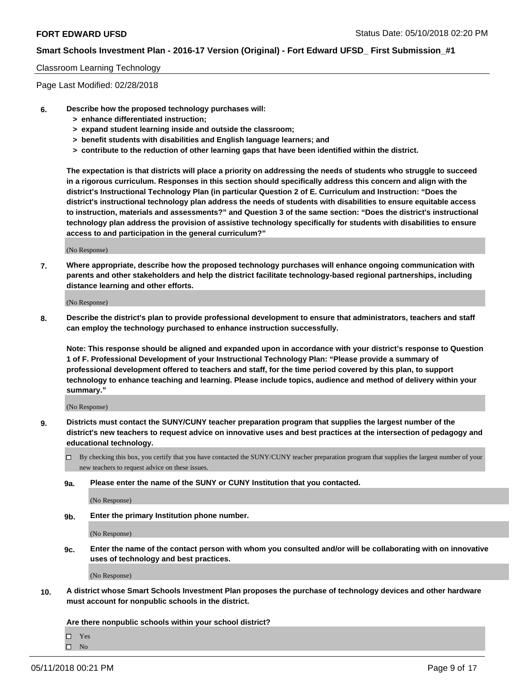#### Classroom Learning Technology

Page Last Modified: 02/28/2018

- **6. Describe how the proposed technology purchases will:**
	- **> enhance differentiated instruction;**
	- **> expand student learning inside and outside the classroom;**
	- **> benefit students with disabilities and English language learners; and**
	- **> contribute to the reduction of other learning gaps that have been identified within the district.**

**The expectation is that districts will place a priority on addressing the needs of students who struggle to succeed in a rigorous curriculum. Responses in this section should specifically address this concern and align with the district's Instructional Technology Plan (in particular Question 2 of E. Curriculum and Instruction: "Does the district's instructional technology plan address the needs of students with disabilities to ensure equitable access to instruction, materials and assessments?" and Question 3 of the same section: "Does the district's instructional technology plan address the provision of assistive technology specifically for students with disabilities to ensure access to and participation in the general curriculum?"**

(No Response)

**7. Where appropriate, describe how the proposed technology purchases will enhance ongoing communication with parents and other stakeholders and help the district facilitate technology-based regional partnerships, including distance learning and other efforts.**

(No Response)

**8. Describe the district's plan to provide professional development to ensure that administrators, teachers and staff can employ the technology purchased to enhance instruction successfully.**

**Note: This response should be aligned and expanded upon in accordance with your district's response to Question 1 of F. Professional Development of your Instructional Technology Plan: "Please provide a summary of professional development offered to teachers and staff, for the time period covered by this plan, to support technology to enhance teaching and learning. Please include topics, audience and method of delivery within your summary."**

(No Response)

- **9. Districts must contact the SUNY/CUNY teacher preparation program that supplies the largest number of the district's new teachers to request advice on innovative uses and best practices at the intersection of pedagogy and educational technology.**
	- $\Box$  By checking this box, you certify that you have contacted the SUNY/CUNY teacher preparation program that supplies the largest number of your new teachers to request advice on these issues.
	- **9a. Please enter the name of the SUNY or CUNY Institution that you contacted.**

(No Response)

**9b. Enter the primary Institution phone number.**

(No Response)

**9c. Enter the name of the contact person with whom you consulted and/or will be collaborating with on innovative uses of technology and best practices.**

(No Response)

**10. A district whose Smart Schools Investment Plan proposes the purchase of technology devices and other hardware must account for nonpublic schools in the district.**

**Are there nonpublic schools within your school district?**

Yes  $\hfill \square$  No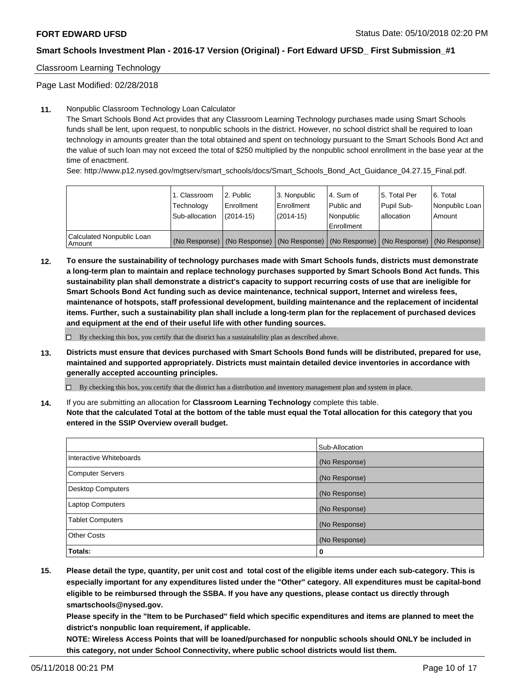Classroom Learning Technology

Page Last Modified: 02/28/2018

#### **11.** Nonpublic Classroom Technology Loan Calculator

The Smart Schools Bond Act provides that any Classroom Learning Technology purchases made using Smart Schools funds shall be lent, upon request, to nonpublic schools in the district. However, no school district shall be required to loan technology in amounts greater than the total obtained and spent on technology pursuant to the Smart Schools Bond Act and the value of such loan may not exceed the total of \$250 multiplied by the nonpublic school enrollment in the base year at the time of enactment.

See: http://www.p12.nysed.gov/mgtserv/smart\_schools/docs/Smart\_Schools\_Bond\_Act\_Guidance\_04.27.15\_Final.pdf.

|                                       | 1. Classroom<br>Technology<br>Sub-allocation | l 2. Public<br>Enrollment<br>$(2014 - 15)$ | l 3. Nonpublic<br>Enrollment<br>(2014-15) | 4. Sum of<br>Public and<br>l Nonpublic<br>Enrollment | l 5. Total Per<br>Pupil Sub-<br>lallocation                                                   | l 6. Total<br>Nonpublic Loan<br>Amount |
|---------------------------------------|----------------------------------------------|--------------------------------------------|-------------------------------------------|------------------------------------------------------|-----------------------------------------------------------------------------------------------|----------------------------------------|
| Calculated Nonpublic Loan<br>l Amount |                                              |                                            |                                           |                                                      | (No Response)   (No Response)   (No Response)   (No Response)   (No Response)   (No Response) |                                        |

**12. To ensure the sustainability of technology purchases made with Smart Schools funds, districts must demonstrate a long-term plan to maintain and replace technology purchases supported by Smart Schools Bond Act funds. This sustainability plan shall demonstrate a district's capacity to support recurring costs of use that are ineligible for Smart Schools Bond Act funding such as device maintenance, technical support, Internet and wireless fees, maintenance of hotspots, staff professional development, building maintenance and the replacement of incidental items. Further, such a sustainability plan shall include a long-term plan for the replacement of purchased devices and equipment at the end of their useful life with other funding sources.**

 $\square$  By checking this box, you certify that the district has a sustainability plan as described above.

**13. Districts must ensure that devices purchased with Smart Schools Bond funds will be distributed, prepared for use, maintained and supported appropriately. Districts must maintain detailed device inventories in accordance with generally accepted accounting principles.**

By checking this box, you certify that the district has a distribution and inventory management plan and system in place.

**14.** If you are submitting an allocation for **Classroom Learning Technology** complete this table.

**Note that the calculated Total at the bottom of the table must equal the Total allocation for this category that you entered in the SSIP Overview overall budget.**

|                          | Sub-Allocation |
|--------------------------|----------------|
| Interactive Whiteboards  | (No Response)  |
| <b>Computer Servers</b>  | (No Response)  |
| <b>Desktop Computers</b> | (No Response)  |
| <b>Laptop Computers</b>  | (No Response)  |
| <b>Tablet Computers</b>  | (No Response)  |
| <b>Other Costs</b>       | (No Response)  |
| Totals:                  | 0              |

**15. Please detail the type, quantity, per unit cost and total cost of the eligible items under each sub-category. This is especially important for any expenditures listed under the "Other" category. All expenditures must be capital-bond eligible to be reimbursed through the SSBA. If you have any questions, please contact us directly through smartschools@nysed.gov.**

**Please specify in the "Item to be Purchased" field which specific expenditures and items are planned to meet the district's nonpublic loan requirement, if applicable.**

**NOTE: Wireless Access Points that will be loaned/purchased for nonpublic schools should ONLY be included in this category, not under School Connectivity, where public school districts would list them.**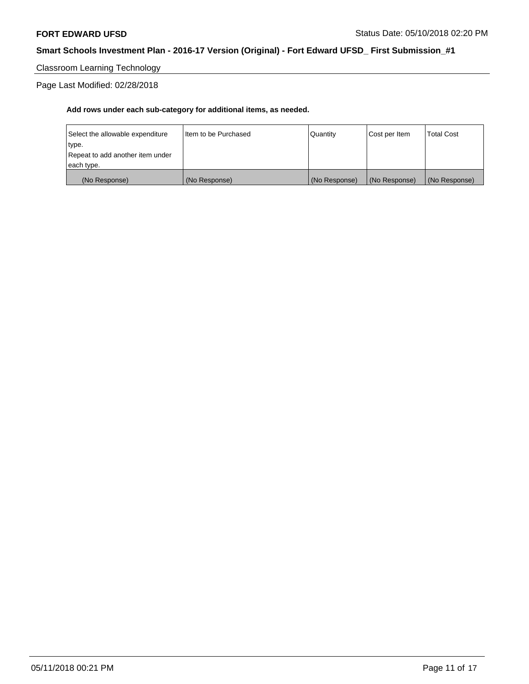Classroom Learning Technology

Page Last Modified: 02/28/2018

| (No Response)                    | (No Response)          | (No Response) | (No Response) | (No Response)     |
|----------------------------------|------------------------|---------------|---------------|-------------------|
| each type.                       |                        |               |               |                   |
| Repeat to add another item under |                        |               |               |                   |
| type.                            |                        |               |               |                   |
| Select the allowable expenditure | I Item to be Purchased | l Quantitv    | Cost per Item | <b>Total Cost</b> |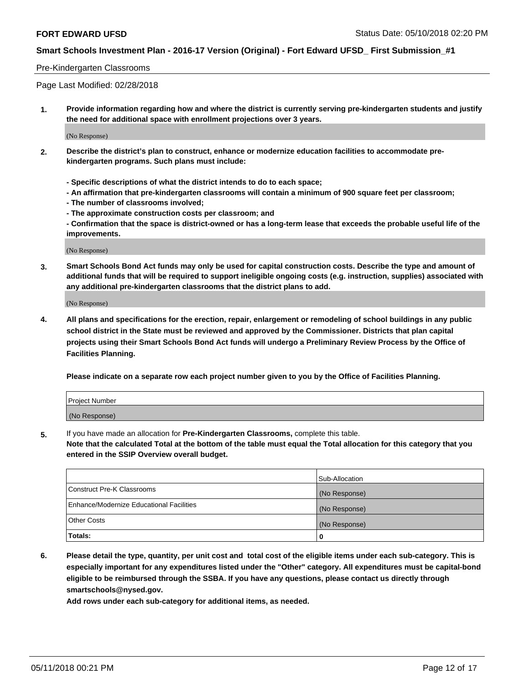#### Pre-Kindergarten Classrooms

Page Last Modified: 02/28/2018

**1. Provide information regarding how and where the district is currently serving pre-kindergarten students and justify the need for additional space with enrollment projections over 3 years.**

(No Response)

- **2. Describe the district's plan to construct, enhance or modernize education facilities to accommodate prekindergarten programs. Such plans must include:**
	- **Specific descriptions of what the district intends to do to each space;**
	- **An affirmation that pre-kindergarten classrooms will contain a minimum of 900 square feet per classroom;**
	- **The number of classrooms involved;**
	- **The approximate construction costs per classroom; and**
	- **Confirmation that the space is district-owned or has a long-term lease that exceeds the probable useful life of the improvements.**

(No Response)

**3. Smart Schools Bond Act funds may only be used for capital construction costs. Describe the type and amount of additional funds that will be required to support ineligible ongoing costs (e.g. instruction, supplies) associated with any additional pre-kindergarten classrooms that the district plans to add.**

(No Response)

**4. All plans and specifications for the erection, repair, enlargement or remodeling of school buildings in any public school district in the State must be reviewed and approved by the Commissioner. Districts that plan capital projects using their Smart Schools Bond Act funds will undergo a Preliminary Review Process by the Office of Facilities Planning.**

**Please indicate on a separate row each project number given to you by the Office of Facilities Planning.**

| <b>Project Number</b> |  |
|-----------------------|--|
| (No Response)         |  |

**5.** If you have made an allocation for **Pre-Kindergarten Classrooms,** complete this table.

**Note that the calculated Total at the bottom of the table must equal the Total allocation for this category that you entered in the SSIP Overview overall budget.**

|                                          | Sub-Allocation |
|------------------------------------------|----------------|
| Construct Pre-K Classrooms               | (No Response)  |
| Enhance/Modernize Educational Facilities | (No Response)  |
| Other Costs                              | (No Response)  |
| Totals:                                  | 0              |

**6. Please detail the type, quantity, per unit cost and total cost of the eligible items under each sub-category. This is especially important for any expenditures listed under the "Other" category. All expenditures must be capital-bond eligible to be reimbursed through the SSBA. If you have any questions, please contact us directly through smartschools@nysed.gov.**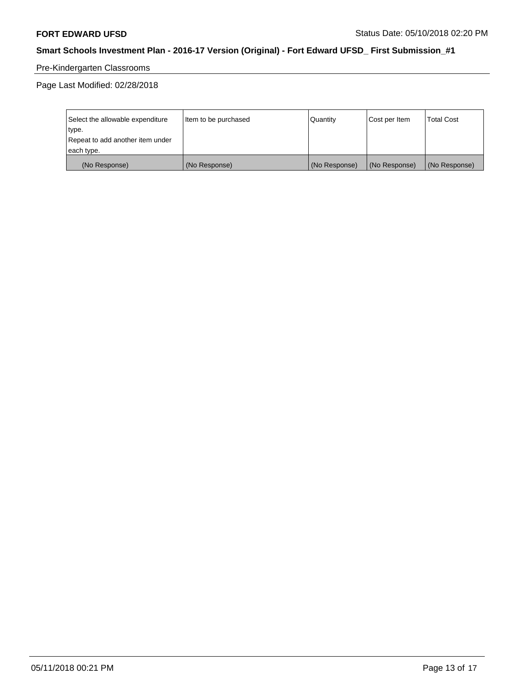# Pre-Kindergarten Classrooms

| Select the allowable expenditure | Item to be purchased | <b>Quantity</b> | Cost per Item | <b>Total Cost</b> |
|----------------------------------|----------------------|-----------------|---------------|-------------------|
| type.                            |                      |                 |               |                   |
| Repeat to add another item under |                      |                 |               |                   |
| each type.                       |                      |                 |               |                   |
| (No Response)                    | (No Response)        | (No Response)   | (No Response) | (No Response)     |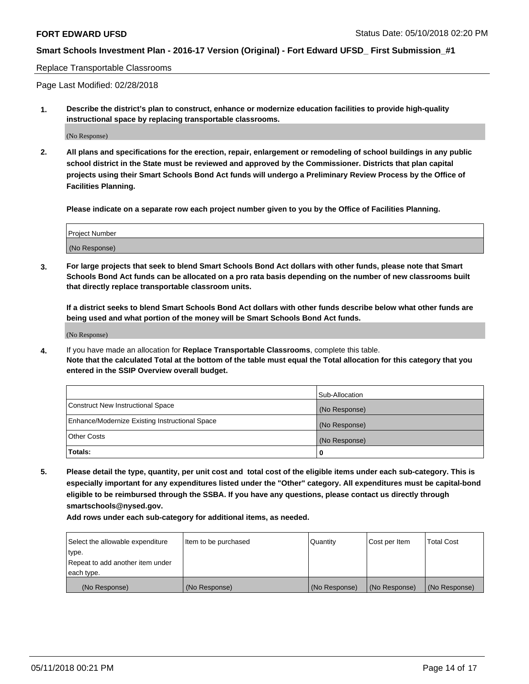#### Replace Transportable Classrooms

Page Last Modified: 02/28/2018

**1. Describe the district's plan to construct, enhance or modernize education facilities to provide high-quality instructional space by replacing transportable classrooms.**

(No Response)

**2. All plans and specifications for the erection, repair, enlargement or remodeling of school buildings in any public school district in the State must be reviewed and approved by the Commissioner. Districts that plan capital projects using their Smart Schools Bond Act funds will undergo a Preliminary Review Process by the Office of Facilities Planning.**

**Please indicate on a separate row each project number given to you by the Office of Facilities Planning.**

| <b>Project Number</b> |  |
|-----------------------|--|
| (No Response)         |  |
|                       |  |

**3. For large projects that seek to blend Smart Schools Bond Act dollars with other funds, please note that Smart Schools Bond Act funds can be allocated on a pro rata basis depending on the number of new classrooms built that directly replace transportable classroom units.**

**If a district seeks to blend Smart Schools Bond Act dollars with other funds describe below what other funds are being used and what portion of the money will be Smart Schools Bond Act funds.**

(No Response)

**4.** If you have made an allocation for **Replace Transportable Classrooms**, complete this table. **Note that the calculated Total at the bottom of the table must equal the Total allocation for this category that you entered in the SSIP Overview overall budget.**

|                                                | Sub-Allocation |
|------------------------------------------------|----------------|
| Construct New Instructional Space              | (No Response)  |
| Enhance/Modernize Existing Instructional Space | (No Response)  |
| Other Costs                                    | (No Response)  |
| Totals:                                        | 0              |

**5. Please detail the type, quantity, per unit cost and total cost of the eligible items under each sub-category. This is especially important for any expenditures listed under the "Other" category. All expenditures must be capital-bond eligible to be reimbursed through the SSBA. If you have any questions, please contact us directly through smartschools@nysed.gov.**

| Select the allowable expenditure | Item to be purchased | Quantity      | Cost per Item | <b>Total Cost</b> |
|----------------------------------|----------------------|---------------|---------------|-------------------|
| type.                            |                      |               |               |                   |
| Repeat to add another item under |                      |               |               |                   |
| each type.                       |                      |               |               |                   |
| (No Response)                    | (No Response)        | (No Response) | (No Response) | (No Response)     |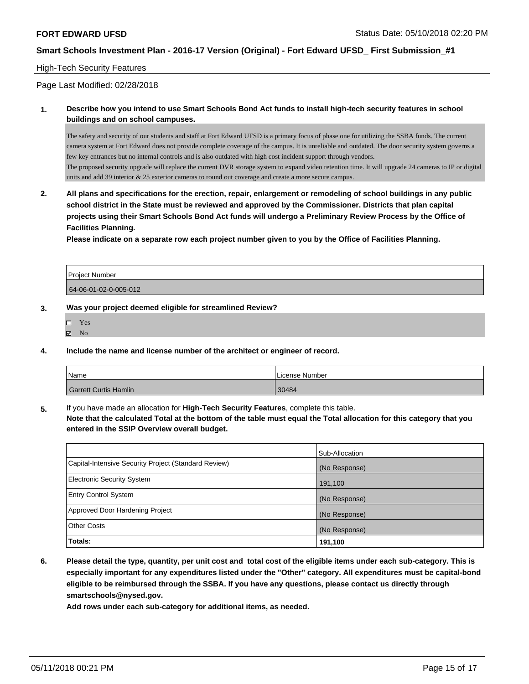#### High-Tech Security Features

Page Last Modified: 02/28/2018

**1. Describe how you intend to use Smart Schools Bond Act funds to install high-tech security features in school buildings and on school campuses.**

The safety and security of our students and staff at Fort Edward UFSD is a primary focus of phase one for utilizing the SSBA funds. The current camera system at Fort Edward does not provide complete coverage of the campus. It is unreliable and outdated. The door security system governs a few key entrances but no internal controls and is also outdated with high cost incident support through vendors. The proposed security upgrade will replace the current DVR storage system to expand video retention time. It will upgrade 24 cameras to IP or digital units and add 39 interior & 25 exterior cameras to round out coverage and create a more secure campus.

**2. All plans and specifications for the erection, repair, enlargement or remodeling of school buildings in any public school district in the State must be reviewed and approved by the Commissioner. Districts that plan capital projects using their Smart Schools Bond Act funds will undergo a Preliminary Review Process by the Office of Facilities Planning.** 

**Please indicate on a separate row each project number given to you by the Office of Facilities Planning.**

| Project Number        |  |
|-----------------------|--|
| 64-06-01-02-0-005-012 |  |

#### **3. Was your project deemed eligible for streamlined Review?**

| □ | Yes |
|---|-----|
| ⊽ | No  |

**4. Include the name and license number of the architect or engineer of record.**

| Name                  | License Number |
|-----------------------|----------------|
| Garrett Curtis Hamlin | 30484          |

**5.** If you have made an allocation for **High-Tech Security Features**, complete this table. **Note that the calculated Total at the bottom of the table must equal the Total allocation for this category that you**

**entered in the SSIP Overview overall budget.**

|                                                      | Sub-Allocation |
|------------------------------------------------------|----------------|
| Capital-Intensive Security Project (Standard Review) | (No Response)  |
| <b>Electronic Security System</b>                    | 191,100        |
| <b>Entry Control System</b>                          | (No Response)  |
| Approved Door Hardening Project                      | (No Response)  |
| <b>Other Costs</b>                                   | (No Response)  |
| Totals:                                              | 191,100        |

**6. Please detail the type, quantity, per unit cost and total cost of the eligible items under each sub-category. This is especially important for any expenditures listed under the "Other" category. All expenditures must be capital-bond eligible to be reimbursed through the SSBA. If you have any questions, please contact us directly through smartschools@nysed.gov.**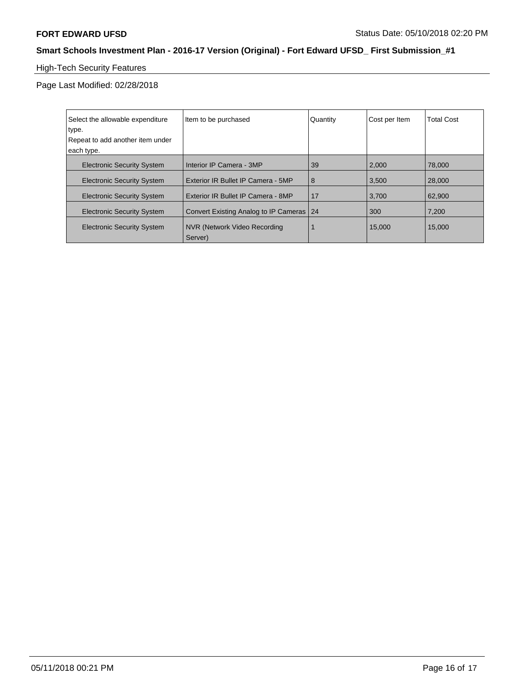# High-Tech Security Features

| Select the allowable expenditure  | Item to be purchased                     | Quantity | Cost per Item | <b>Total Cost</b> |
|-----------------------------------|------------------------------------------|----------|---------------|-------------------|
| type.                             |                                          |          |               |                   |
| Repeat to add another item under  |                                          |          |               |                   |
| each type.                        |                                          |          |               |                   |
| <b>Electronic Security System</b> | Interior IP Camera - 3MP                 | 39       | 2,000         | 78,000            |
| <b>Electronic Security System</b> | Exterior IR Bullet IP Camera - 5MP       | 8        | 3.500         | 28,000            |
| <b>Electronic Security System</b> | Exterior IR Bullet IP Camera - 8MP       | 17       | 3.700         | 62.900            |
| <b>Electronic Security System</b> | Convert Existing Analog to IP Cameras 24 |          | 300           | 7,200             |
| <b>Electronic Security System</b> | NVR (Network Video Recording<br>Server)  |          | 15,000        | 15,000            |